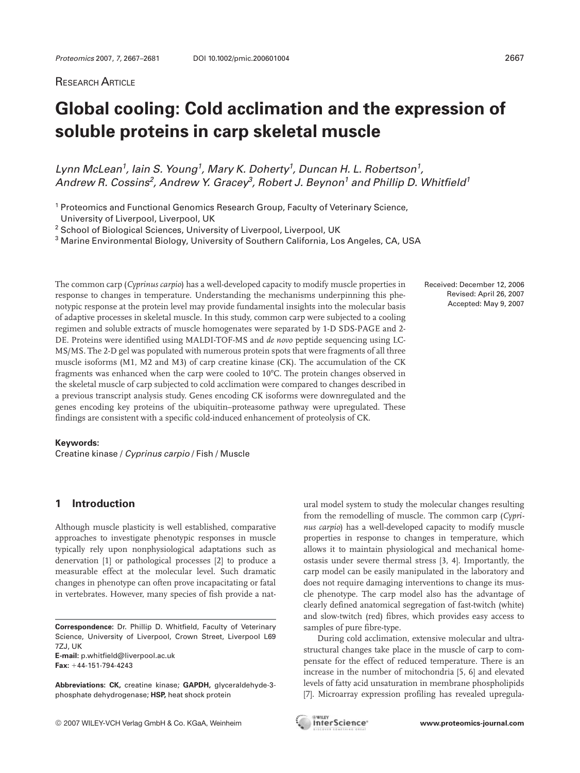# **RESEARCH ARTICLE**

# **Global cooling: Cold acclimation and the expression of soluble proteins in carp skeletal muscle**

Lynn McLean<sup>1</sup>, Iain S. Young<sup>1</sup>, Mary K. Doherty<sup>1</sup>, Duncan H. L. Robertson<sup>1</sup>, Andrew R. Cossins<sup>2</sup>, Andrew Y. Gracey<sup>3</sup>, Robert J. Beynon<sup>1</sup> and Phillip D. Whitfield<sup>1</sup>

<sup>1</sup> Proteomics and Functional Genomics Research Group, Faculty of Veterinary Science, University of Liverpool, Liverpool, UK

<sup>2</sup> School of Biological Sciences, University of Liverpool, Liverpool, UK

<sup>3</sup> Marine Environmental Biology, University of Southern California, Los Angeles, CA, USA

The common carp (*Cyprinus carpio*) has a well-developed capacity to modify muscle properties in response to changes in temperature. Understanding the mechanisms underpinning this phenotypic response at the protein level may provide fundamental insights into the molecular basis of adaptive processes in skeletal muscle. In this study, common carp were subjected to a cooling regimen and soluble extracts of muscle homogenates were separated by 1-D SDS-PAGE and 2- DE. Proteins were identified using MALDI-TOF-MS and *de novo* peptide sequencing using LC-MS/MS. The 2-D gel was populated with numerous protein spots that were fragments of all three muscle isoforms (M1, M2 and M3) of carp creatine kinase (CK). The accumulation of the CK fragments was enhanced when the carp were cooled to 107C. The protein changes observed in the skeletal muscle of carp subjected to cold acclimation were compared to changes described in a previous transcript analysis study. Genes encoding CK isoforms were downregulated and the genes encoding key proteins of the ubiquitin–proteasome pathway were upregulated. These findings are consistent with a specific cold-induced enhancement of proteolysis of CK.

#### **Keywords:**

Creatine kinase / Cyprinus carpio / Fish / Muscle

# **1 Introduction**

Although muscle plasticity is well established, comparative approaches to investigate phenotypic responses in muscle typically rely upon nonphysiological adaptations such as denervation [1] or pathological processes [2] to produce a measurable effect at the molecular level. Such dramatic changes in phenotype can often prove incapacitating or fatal in vertebrates. However, many species of fish provide a nat-

**Correspondence:** Dr. Phillip D. Whitfield, Faculty of Veterinary Science, University of Liverpool, Crown Street, Liverpool L69 7ZJ, UK **E-mail:** p.whitfield@liverpool.ac.uk Fax: +44-151-794-4243

**Abbreviations: CK,** creatine kinase; **GAPDH,** glyceraldehyde-3 phosphate dehydrogenase; **HSP,** heat shock protein

ural model system to study the molecular changes resulting from the remodelling of muscle. The common carp (*Cyprinus carpio*) has a well-developed capacity to modify muscle properties in response to changes in temperature, which allows it to maintain physiological and mechanical homeostasis under severe thermal stress [3, 4]. Importantly, the carp model can be easily manipulated in the laboratory and does not require damaging interventions to change its muscle phenotype. The carp model also has the advantage of clearly defined anatomical segregation of fast-twitch (white) and slow-twitch (red) fibres, which provides easy access to samples of pure fibre-type.

During cold acclimation, extensive molecular and ultrastructural changes take place in the muscle of carp to compensate for the effect of reduced temperature. There is an increase in the number of mitochondria [5, 6] and elevated levels of fatty acid unsaturation in membrane phospholipids [7]. Microarray expression profiling has revealed upregula-

Received: December 12, 2006 Revised: April 26, 2007 Accepted: May 9, 2007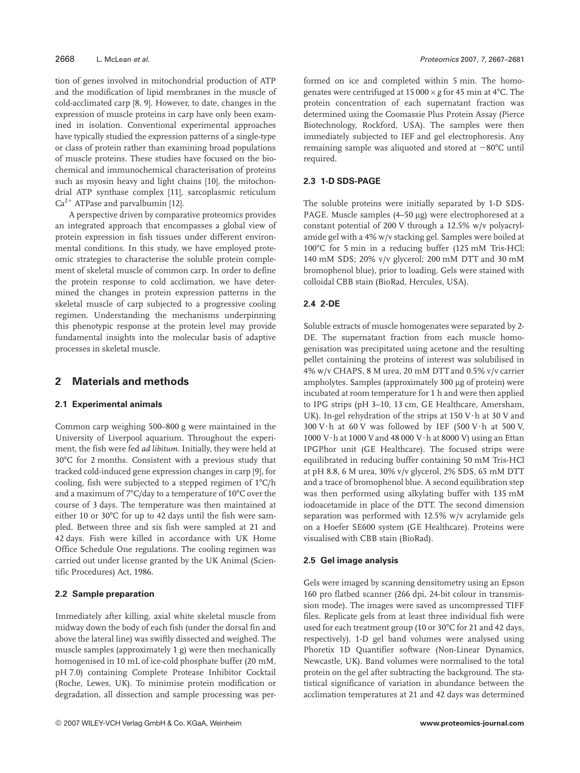tion of genes involved in mitochondrial production of ATP and the modification of lipid membranes in the muscle of cold-acclimated carp [8, 9]. However, to date, changes in the expression of muscle proteins in carp have only been examined in isolation. Conventional experimental approaches have typically studied the expression patterns of a single-type or class of protein rather than examining broad populations of muscle proteins. These studies have focused on the biochemical and immunochemical characterisation of proteins such as myosin heavy and light chains [10], the mitochondrial ATP synthase complex [11], sarcoplasmic reticulum  $Ca<sup>2+</sup> ATPase$  and parvalbumin [12].

A perspective driven by comparative proteomics provides an integrated approach that encompasses a global view of protein expression in fish tissues under different environmental conditions. In this study, we have employed proteomic strategies to characterise the soluble protein complement of skeletal muscle of common carp. In order to define the protein response to cold acclimation, we have determined the changes in protein expression patterns in the skeletal muscle of carp subjected to a progressive cooling regimen. Understanding the mechanisms underpinning this phenotypic response at the protein level may provide fundamental insights into the molecular basis of adaptive processes in skeletal muscle.

### **2 Materials and methods**

#### **2.1 Experimental animals**

Common carp weighing 500–800 g were maintained in the University of Liverpool aquarium. Throughout the experiment, the fish were fed *ad libitum*. Initially, they were held at 307C for 2 months. Consistent with a previous study that tracked cold-induced gene expression changes in carp [9], for cooling, fish were subjected to a stepped regimen of  $1^{\circ}C/h$ and a maximum of  $7^{\circ}$ C/day to a temperature of  $10^{\circ}$ C over the course of 3 days. The temperature was then maintained at either 10 or 30 $^{\circ}$ C for up to 42 days until the fish were sampled. Between three and six fish were sampled at 21 and 42 days. Fish were killed in accordance with UK Home Office Schedule One regulations. The cooling regimen was carried out under license granted by the UK Animal (Scientific Procedures) Act, 1986.

#### **2.2 Sample preparation**

Immediately after killing, axial white skeletal muscle from midway down the body of each fish (under the dorsal fin and above the lateral line) was swiftly dissected and weighed. The muscle samples (approximately 1 g) were then mechanically homogenised in 10 mL of ice-cold phosphate buffer (20 mM, pH 7.0) containing Complete Protease Inhibitor Cocktail (Roche, Lewes, UK). To minimise protein modification or degradation, all dissection and sample processing was performed on ice and completed within 5 min. The homogenates were centrifuged at 15 000  $\times$  g for 45 min at 4°C. The protein concentration of each supernatant fraction was determined using the Coomassie Plus Protein Assay (Pierce Biotechnology, Rockford, USA). The samples were then immediately subjected to IEF and gel electrophoresis. Any remaining sample was aliquoted and stored at  $-80^{\circ}$ C until required.

## **2.3 1-D SDS-PAGE**

The soluble proteins were initially separated by 1-D SDS-PAGE. Muscle samples (4–50 µg) were electrophoresed at a constant potential of 200 V through a 12.5% w/v polyacrylamide gel with a 4% w/v stacking gel. Samples were boiled at 100°C for 5 min in a reducing buffer (125 mM Tris-HCl; 140 mM SDS; 20% v/v glycerol; 200 mM DTT and 30 mM bromophenol blue), prior to loading. Gels were stained with colloidal CBB stain (BioRad, Hercules, USA).

### **2.4 2-DE**

Soluble extracts of muscle homogenates were separated by 2- DE. The supernatant fraction from each muscle homogenisation was precipitated using acetone and the resulting pellet containing the proteins of interest was solubilised in 4% w/v CHAPS, 8 M urea, 20 mM DTT and 0.5% v/v carrier ampholytes. Samples (approximately 300 µg of protein) were incubated at room temperature for 1 h and were then applied to IPG strips (pH 3–10, 13 cm, GE Healthcare, Amersham, UK). In-gel rehydration of the strips at 150 V $\cdot$ h at 30 V and  $300$  V $\cdot$ h at 60 V was followed by IEF (500 V $\cdot$ h at 500 V, 1000 V $\cdot$ h at 1000 V and 48 000 V $\cdot$ h at 8000 V) using an Ettan IPGPhor unit (GE Healthcare). The focused strips were equilibrated in reducing buffer containing 50 mM Tris-HCl at pH 8.8, 6 M urea, 30% v/v glycerol, 2% SDS, 65 mM DTT and a trace of bromophenol blue. A second equilibration step was then performed using alkylating buffer with 135 mM iodoacetamide in place of the DTT. The second dimension separation was performed with 12.5% w/v acrylamide gels on a Hoefer SE600 system (GE Healthcare). Proteins were visualised with CBB stain (BioRad).

#### **2.5 Gel image analysis**

Gels were imaged by scanning densitometry using an Epson 160 pro flatbed scanner (266 dpi, 24-bit colour in transmission mode). The images were saved as uncompressed TIFF files. Replicate gels from at least three individual fish were used for each treatment group (10 or 30°C for 21 and 42 days, respectively). 1-D gel band volumes were analysed using Phoretix 1D Quantifier software (Non-Linear Dynamics, Newcastle, UK). Band volumes were normalised to the total protein on the gel after subtracting the background. The statistical significance of variation in abundance between the acclimation temperatures at 21 and 42 days was determined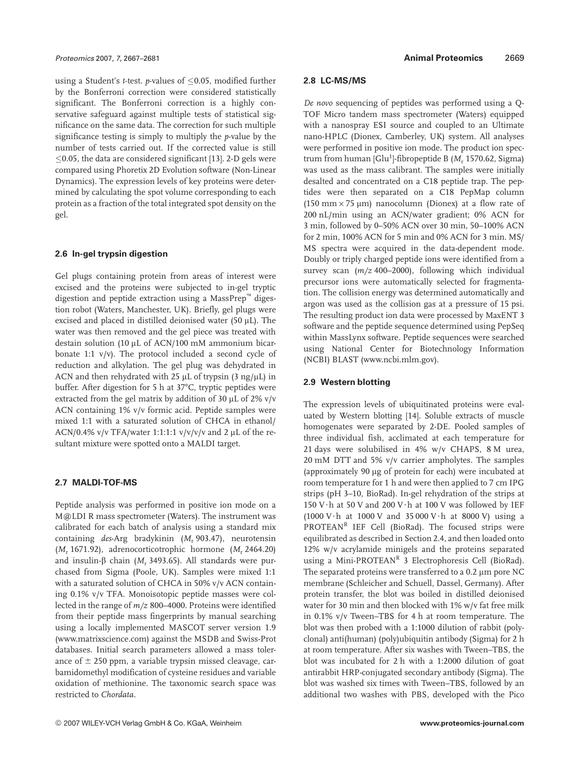using a Student's *t*-test. *p*-values of  $\leq$ 0.05, modified further by the Bonferroni correction were considered statistically significant. The Bonferroni correction is a highly conservative safeguard against multiple tests of statistical significance on the same data. The correction for such multiple significance testing is simply to multiply the *p*-value by the number of tests carried out. If the corrected value is still  $\leq$ 0.05, the data are considered significant [13]. 2-D gels were compared using Phoretix 2D Evolution software (Non-Linear Dynamics). The expression levels of key proteins were determined by calculating the spot volume corresponding to each protein as a fraction of the total integrated spot density on the gel.

#### **2.6 In-gel trypsin digestion**

Gel plugs containing protein from areas of interest were excised and the proteins were subjected to in-gel tryptic digestion and peptide extraction using a MassPrep™ digestion robot (Waters, Manchester, UK). Briefly, gel plugs were excised and placed in distilled deionised water (50  $\mu$ L). The water was then removed and the gel piece was treated with destain solution (10 µL of ACN/100 mM ammonium bicarbonate 1:1 v/v). The protocol included a second cycle of reduction and alkylation. The gel plug was dehydrated in ACN and then rehydrated with 25  $\mu$ L of trypsin (3 ng/ $\mu$ L) in buffer. After digestion for 5 h at 37°C, tryptic peptides were extracted from the gel matrix by addition of 30  $\mu$ L of 2% v/v ACN containing 1% v/v formic acid. Peptide samples were mixed 1:1 with a saturated solution of CHCA in ethanol/ ACN/0.4% v/v TFA/water 1:1:1:1 v/v/v/v and 2  $\mu$ L of the resultant mixture were spotted onto a MALDI target.

#### **2.7 MALDI-TOF-MS**

Peptide analysis was performed in positive ion mode on a M@LDI R mass spectrometer (Waters). The instrument was calibrated for each batch of analysis using a standard mix containing *des*-Arg bradykinin (*M*<sup>r</sup> 903.47), neurotensin (*M*<sup>r</sup> 1671.92), adrenocorticotrophic hormone (*M*<sup>r</sup> 2464.20) and insulin- $\beta$  chain ( $M_r$  3493.65). All standards were purchased from Sigma (Poole, UK). Samples were mixed 1:1 with a saturated solution of CHCA in 50% v/v ACN containing 0.1% v/v TFA. Monoisotopic peptide masses were collected in the range of *m/z* 800–4000. Proteins were identified from their peptide mass fingerprints by manual searching using a locally implemented MASCOT server version 1.9 (www.matrixscience.com) against the MSDB and Swiss-Prot databases. Initial search parameters allowed a mass tolerance of  $\pm$  250 ppm, a variable trypsin missed cleavage, carbamidomethyl modification of cysteine residues and variable oxidation of methionine. The taxonomic search space was restricted to *Chordata*.

#### **2.8 LC-MS/MS**

*De novo* sequencing of peptides was performed using a Q-TOF Micro tandem mass spectrometer (Waters) equipped with a nanospray ESI source and coupled to an Ultimate nano-HPLC (Dionex, Camberley, UK) system. All analyses were performed in positive ion mode. The product ion spectrum from human [Glu<sup>1</sup>]-fibropeptide B (M<sub>r</sub> 1570.62, Sigma) was used as the mass calibrant. The samples were initially desalted and concentrated on a C18 peptide trap. The peptides were then separated on a C18 PepMap column (150 mm  $\times$  75 µm) nanocolumn (Dionex) at a flow rate of 200 nL/min using an ACN/water gradient; 0% ACN for 3 min, followed by 0–50% ACN over 30 min, 50–100% ACN for 2 min, 100% ACN for 5 min and 0% ACN for 3 min. MS/ MS spectra were acquired in the data-dependent mode. Doubly or triply charged peptide ions were identified from a survey scan (*m/z* 400–2000), following which individual precursor ions were automatically selected for fragmentation. The collision energy was determined automatically and argon was used as the collision gas at a pressure of 15 psi. The resulting product ion data were processed by MaxENT 3 software and the peptide sequence determined using PepSeq within MassLynx software. Peptide sequences were searched using National Center for Biotechnology Information (NCBI) BLAST (www.ncbi.mlm.gov).

#### **2.9 Western blotting**

The expression levels of ubiquitinated proteins were evaluated by Western blotting [14]. Soluble extracts of muscle homogenates were separated by 2-DE. Pooled samples of three individual fish, acclimated at each temperature for 21 days were solubilised in 4% w/v CHAPS, 8 M urea, 20 mM DTT and 5% v/v carrier ampholytes. The samples (approximately 90 mg of protein for each) were incubated at room temperature for 1 h and were then applied to 7 cm IPG strips (pH 3–10, BioRad). In-gel rehydration of the strips at 150 V $\cdot$ h at 50 V and 200 V $\cdot$ h at 100 V was followed by IEF (1000 V $\cdot$ h at 1000 V and 35 000 V $\cdot$ h at 8000 V) using a PROTEAN<sup>R</sup> IEF Cell (BioRad). The focused strips were equilibrated as described in Section 2.4, and then loaded onto 12% w/v acrylamide minigels and the proteins separated using a Mini-PROTEAN<sup>R</sup> 3 Electrophoresis Cell (BioRad). The separated proteins were transferred to a 0.2 um pore NC membrane (Schleicher and Schuell, Dassel, Germany). After protein transfer, the blot was boiled in distilled deionised water for 30 min and then blocked with 1% w/v fat free milk in 0.1% v/v Tween–TBS for 4 h at room temperature. The blot was then probed with a 1:1000 dilution of rabbit (polyclonal) anti(human) (poly)ubiquitin antibody (Sigma) for 2 h at room temperature. After six washes with Tween–TBS, the blot was incubated for 2 h with a 1:2000 dilution of goat antirabbit HRP-conjugated secondary antibody (Sigma). The blot was washed six times with Tween–TBS, followed by an additional two washes with PBS, developed with the Pico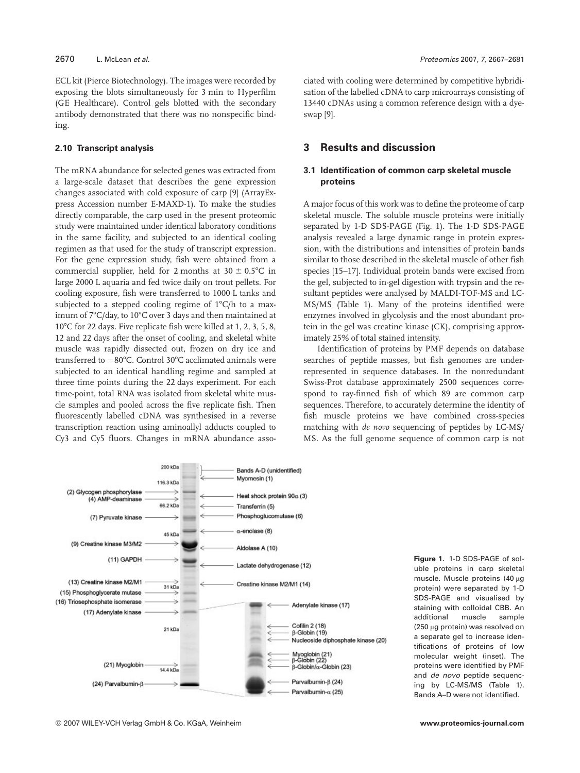ECL kit (Pierce Biotechnology). The images were recorded by exposing the blots simultaneously for 3 min to Hyperfilm (GE Healthcare). Control gels blotted with the secondary antibody demonstrated that there was no nonspecific binding.

#### **2.10 Transcript analysis**

The mRNA abundance for selected genes was extracted from a large-scale dataset that describes the gene expression changes associated with cold exposure of carp [9] (ArrayExpress Accession number E-MAXD-1). To make the studies directly comparable, the carp used in the present proteomic study were maintained under identical laboratory conditions in the same facility, and subjected to an identical cooling regimen as that used for the study of transcript expression. For the gene expression study, fish were obtained from a commercial supplier, held for 2 months at  $30 \pm 0.5^{\circ}C$  in large 2000 L aquaria and fed twice daily on trout pellets. For cooling exposure, fish were transferred to 1000 L tanks and subjected to a stepped cooling regime of  $1^{\circ}C/h$  to a maximum of 7°C/day, to 10°C over 3 days and then maintained at  $10^{\circ}$ C for 22 days. Five replicate fish were killed at 1, 2, 3, 5, 8, 12 and 22 days after the onset of cooling, and skeletal white muscle was rapidly dissected out, frozen on dry ice and transferred to  $-80^{\circ}$ C. Control 30 $^{\circ}$ C acclimated animals were subjected to an identical handling regime and sampled at three time points during the 22 days experiment. For each time-point, total RNA was isolated from skeletal white muscle samples and pooled across the five replicate fish. Then fluorescently labelled cDNA was synthesised in a reverse transcription reaction using aminoallyl adducts coupled to Cy3 and Cy5 fluors. Changes in mRNA abundance associated with cooling were determined by competitive hybridisation of the labelled cDNA to carp microarrays consisting of 13440 cDNAs using a common reference design with a dyeswap [9].

# **3 Results and discussion**

### **3.1 Identification of common carp skeletal muscle proteins**

A major focus of this work was to define the proteome of carp skeletal muscle. The soluble muscle proteins were initially separated by 1-D SDS-PAGE (Fig. 1). The 1-D SDS-PAGE analysis revealed a large dynamic range in protein expression, with the distributions and intensities of protein bands similar to those described in the skeletal muscle of other fish species [15–17]. Individual protein bands were excised from the gel, subjected to in-gel digestion with trypsin and the resultant peptides were analysed by MALDI-TOF-MS and LC-MS/MS (Table 1). Many of the proteins identified were enzymes involved in glycolysis and the most abundant protein in the gel was creatine kinase (CK), comprising approximately 25% of total stained intensity.

Identification of proteins by PMF depends on database searches of peptide masses, but fish genomes are underrepresented in sequence databases. In the nonredundant Swiss-Prot database approximately 2500 sequences correspond to ray-finned fish of which 89 are common carp sequences. Therefore, to accurately determine the identity of fish muscle proteins we have combined cross-species matching with *de novo* sequencing of peptides by LC-MS/ MS. As the full genome sequence of common carp is not



**Figure 1.** 1-D SDS-PAGE of soluble proteins in carp skeletal muscle. Muscle proteins (40 µg protein) were separated by 1-D SDS-PAGE and visualised by staining with colloidal CBB. An additional muscle sample (250 mg protein) was resolved on a separate gel to increase identifications of proteins of low molecular weight (inset). The proteins were identified by PMF and de novo peptide sequencing by LC-MS/MS (Table 1). Bands A–D were not identified.

© 2007 WILEY-VCH Verlag GmbH & Co. KGaA, Weinheim **www.proteomics-journal.com**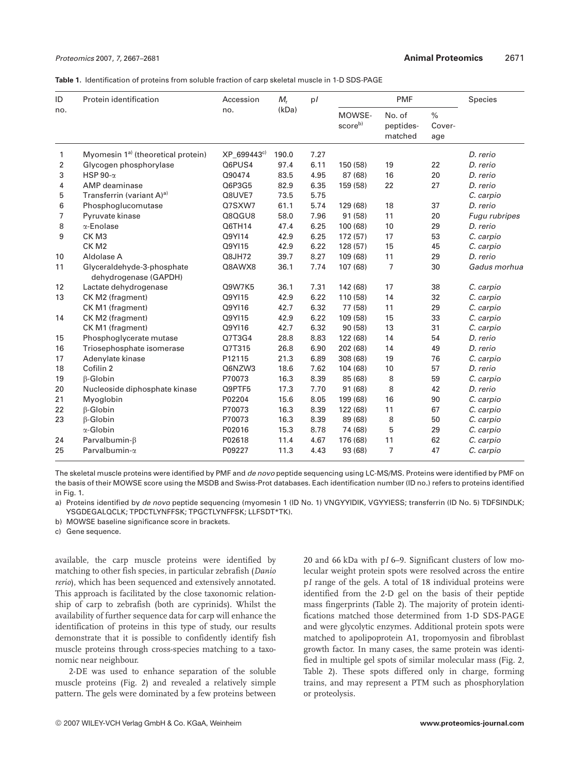|  |  | <b>Table 1.</b> Identification of proteins from soluble fraction of carp skeletal muscle in 1-D SDS-PAGE |  |  |  |  |
|--|--|----------------------------------------------------------------------------------------------------------|--|--|--|--|
|--|--|----------------------------------------------------------------------------------------------------------|--|--|--|--|

| ID<br>no. | Protein identification                              | Accession<br>no. | $M_r$<br>(kDa) | p/   | <b>PMF</b>                    |                                |                       | Species       |
|-----------|-----------------------------------------------------|------------------|----------------|------|-------------------------------|--------------------------------|-----------------------|---------------|
|           |                                                     |                  |                |      | MOWSE-<br>score <sup>b)</sup> | No. of<br>peptides-<br>matched | $\%$<br>Cover-<br>age |               |
| 1         | Myomesin 1 <sup>a)</sup> (theoretical protein)      | XP 699443°       | 190.0          | 7.27 |                               |                                |                       | D. rerio      |
| 2         | Glycogen phosphorylase                              | Q6PUS4           | 97.4           | 6.11 | 150 (58)                      | 19                             | 22                    | D. rerio      |
| 3         | HSP 90- $\alpha$                                    | Q90474           | 83.5           | 4.95 | 87 (68)                       | 16                             | 20                    | D. rerio      |
| 4         | AMP deaminase                                       | Q6P3G5           | 82.9           | 6.35 | 159 (58)                      | 22                             | 27                    | D. rerio      |
| 5         | Transferrin (variant A) <sup>a)</sup>               | Q8UVE7           | 73.5           | 5.75 |                               |                                |                       | C. carpio     |
| 6         | Phosphoglucomutase                                  | Q7SXW7           | 61.1           | 5.74 | 129 (68)                      | 18                             | 37                    | D. rerio      |
| 7         | Pyruvate kinase                                     | Q8QGU8           | 58.0           | 7.96 | 91(58)                        | 11                             | 20                    | Fugu rubripes |
| 8         | α-Enolase                                           | Q6TH14           | 47.4           | 6.25 | 100 (68)                      | 10                             | 29                    | D. rerio      |
| 9         | CK <sub>M3</sub>                                    | Q9YI14           | 42.9           | 6.25 | 172 (57)                      | 17                             | 53                    | C. carpio     |
|           | CK <sub>M2</sub>                                    | Q9YI15           | 42.9           | 6.22 | 128 (57)                      | 15                             | 45                    | C. carpio     |
| 10        | Aldolase A                                          | Q8JH72           | 39.7           | 8.27 | 109 (68)                      | 11                             | 29                    | D. rerio      |
| 11        | Glyceraldehyde-3-phosphate<br>dehydrogenase (GAPDH) | Q8AWX8           | 36.1           | 7.74 | 107 (68)                      | $\overline{7}$                 | 30                    | Gadus morhua  |
| 12        | Lactate dehydrogenase                               | Q9W7K5           | 36.1           | 7.31 | 142 (68)                      | 17                             | 38                    | C. carpio     |
| 13        | CK M2 (fragment)                                    | Q9YI15           | 42.9           | 6.22 | 110 (58)                      | 14                             | 32                    | C. carpio     |
|           | CK M1 (fragment)                                    | Q9Y116           | 42.7           | 6.32 | 77 (58)                       | 11                             | 29                    | C. carpio     |
| 14        | CK M2 (fragment)                                    | Q9YI15           | 42.9           | 6.22 | 109 (58)                      | 15                             | 33                    | C. carpio     |
|           | CK M1 (fragment)                                    | Q9YI16           | 42.7           | 6.32 | 90 (58)                       | 13                             | 31                    | C. carpio     |
| 15        | Phosphoglycerate mutase                             | Q7T3G4           | 28.8           | 8.83 | 122 (68)                      | 14                             | 54                    | D. rerio      |
| 16        | Triosephosphate isomerase                           | Q7T315           | 26.8           | 6.90 | 202 (68)                      | 14                             | 49                    | D. rerio      |
| 17        | Adenylate kinase                                    | P12115           | 21.3           | 6.89 | 308 (68)                      | 19                             | 76                    | C. carpio     |
| 18        | Cofilin 2                                           | Q6NZW3           | 18.6           | 7.62 | 104 (68)                      | 10                             | 57                    | D. rerio      |
| 19        | β-Globin                                            | P70073           | 16.3           | 8.39 | 85 (68)                       | 8                              | 59                    | C. carpio     |
| 20        | Nucleoside diphosphate kinase                       | Q9PTF5           | 17.3           | 7.70 | 91 (68)                       | 8                              | 42                    | D. rerio      |
| 21        | Myoglobin                                           | P02204           | 15.6           | 8.05 | 199 (68)                      | 16                             | 90                    | C. carpio     |
| 22        | $\beta$ -Globin                                     | P70073           | 16.3           | 8.39 | 122 (68)                      | 11                             | 67                    | C. carpio     |
| 23        | $\beta$ -Globin                                     | P70073           | 16.3           | 8.39 | 89 (68)                       | 8                              | 50                    | C. carpio     |
|           | α-Globin                                            | P02016           | 15.3           | 8.78 | 74 (68)                       | 5                              | 29                    | C. carpio     |
| 24        | Parvalbumin- $\beta$                                | P02618           | 11.4           | 4.67 | 176 (68)                      | 11                             | 62                    | C. carpio     |
| 25        | Parvalbumin-a                                       | P09227           | 11.3           | 4.43 | 93 (68)                       | $\overline{7}$                 | 47                    | C. carpio     |

The skeletal muscle proteins were identified by PMF and *de novo* peptide sequencing using LC-MS/MS. Proteins were identified by PMF on the basis of their MOWSE score using the MSDB and Swiss-Prot databases. Each identification number (ID no.) refers to proteins identified in Fig. 1.

a) Proteins identified by de novo peptide sequencing (myomesin 1 (ID No. 1) VNGYYIDIK, VGYYIESS; transferrin (ID No. 5) TDFSINDLK; YSGDEGALQCLK; TPDCTLYNFFSK; TPGCTLYNFFSK; LLFSDT\*TK).

b) MOWSE baseline significance score in brackets.

c) Gene sequence.

available, the carp muscle proteins were identified by matching to other fish species, in particular zebrafish (*Danio rerio*), which has been sequenced and extensively annotated. This approach is facilitated by the close taxonomic relationship of carp to zebrafish (both are cyprinids). Whilst the availability of further sequence data for carp will enhance the identification of proteins in this type of study, our results demonstrate that it is possible to confidently identify fish muscle proteins through cross-species matching to a taxonomic near neighbour.

2-DE was used to enhance separation of the soluble muscle proteins (Fig. 2) and revealed a relatively simple pattern. The gels were dominated by a few proteins between

20 and 66 kDa with p*I* 6–9. Significant clusters of low molecular weight protein spots were resolved across the entire p*I* range of the gels. A total of 18 individual proteins were identified from the 2-D gel on the basis of their peptide mass fingerprints (Table 2). The majority of protein identifications matched those determined from 1-D SDS-PAGE and were glycolytic enzymes. Additional protein spots were matched to apolipoprotein A1, tropomyosin and fibroblast growth factor. In many cases, the same protein was identified in multiple gel spots of similar molecular mass (Fig. 2, Table 2). These spots differed only in charge, forming trains, and may represent a PTM such as phosphorylation or proteolysis.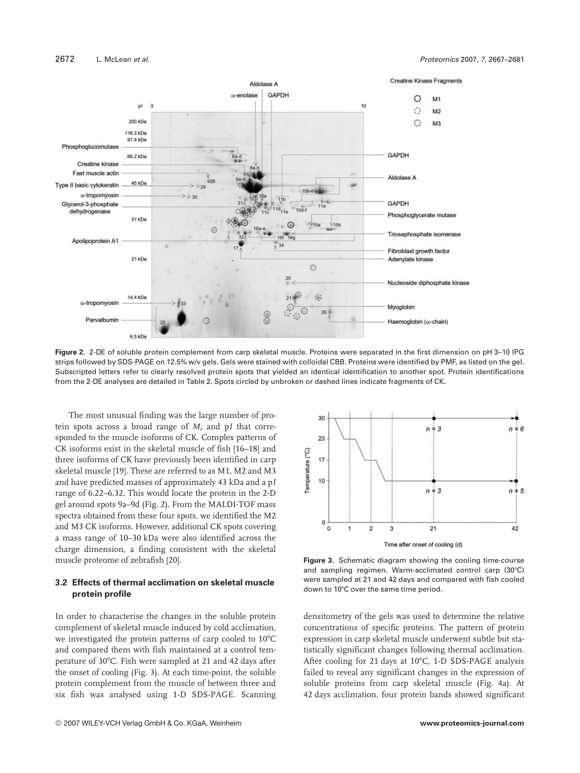

**Figure 2.** 2-DE of soluble protein complement from carp skeletal muscle. Proteins were separated in the first dimension on pH 3–10 IPG strips followed by SDS-PAGE on 12.5% w/v gels. Gels were stained with colloidal CBB. Proteins were identified by PMF, as listed on the gel. Subscripted letters refer to clearly resolved protein spots that yielded an identical identification to another spot. Protein identifications from the 2-DE analyses are detailed in Table 2. Spots circled by unbroken or dashed lines indicate fragments of CK.

The most unusual finding was the large number of protein spots across a broad range of  $M_r$  and p*I* that corresponded to the muscle isoforms of CK. Complex patterns of CK isoforms exist in the skeletal muscle of fish [16–18] and three isoforms of CK have previously been identified in carp skeletal muscle [19]. These are referred to as M1, M2 and M3 and have predicted masses of approximately 43 kDa and a p*I* range of 6.22–6.32. This would locate the protein in the 2-D gel around spots 9a–9d (Fig. 2). From the MALDI-TOF mass spectra obtained from these four spots, we identified the M2 and M3 CK isoforms. However, additional CK spots covering a mass range of 10–30 kDa were also identified across the charge dimension, a finding consistent with the skeletal muscle proteome of zebrafish [20].

#### **3.2 Effects of thermal acclimation on skeletal muscle protein profile**

In order to characterise the changes in the soluble protein complement of skeletal muscle induced by cold acclimation, we investigated the protein patterns of carp cooled to 10°C and compared them with fish maintained at a control temperature of 307C. Fish were sampled at 21 and 42 days after the onset of cooling (Fig. 3). At each time-point, the soluble protein complement from the muscle of between three and six fish was analysed using 1-D SDS-PAGE. Scanning



**Figure 3.** Schematic diagram showing the cooling time-course and sampling regimen. Warm-acclimated control carp  $(30^{\circ}C)$ were sampled at 21 and 42 days and compared with fish cooled down to 10°C over the same time period.

densitometry of the gels was used to determine the relative concentrations of specific proteins. The pattern of protein expression in carp skeletal muscle underwent subtle but statistically significant changes following thermal acclimation. After cooling for 21 days at  $10^{\circ}$ C, 1-D SDS-PAGE analysis failed to reveal any significant changes in the expression of soluble proteins from carp skeletal muscle (Fig. 4a). At 42 days acclimation, four protein bands showed significant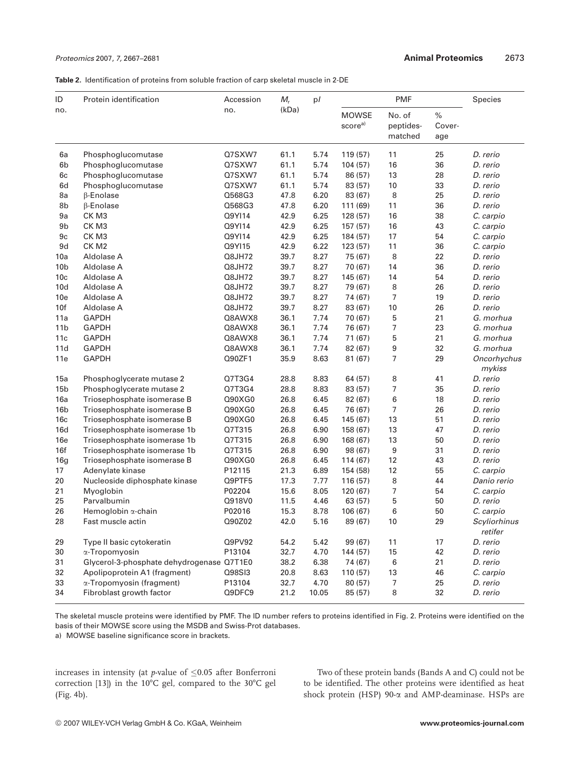**Table 2.** Identification of proteins from soluble fraction of carp skeletal muscle in 2-DE

| ID              | Protein identification                    | Accession<br>no. | $M_r$<br>(kDa) | p/    | <b>PMF</b>                          |                                |                       | Species                 |
|-----------------|-------------------------------------------|------------------|----------------|-------|-------------------------------------|--------------------------------|-----------------------|-------------------------|
| no.             |                                           |                  |                |       | <b>MOWSE</b><br>score <sup>a)</sup> | No. of<br>peptides-<br>matched | $\%$<br>Cover-<br>age |                         |
| 6a              | Phosphoglucomutase                        | Q7SXW7           | 61.1           | 5.74  | 119 (57)                            | 11                             | 25                    | D. rerio                |
| 6b              | Phosphoglucomutase                        | Q7SXW7           | 61.1           | 5.74  | 104(57)                             | 16                             | 36                    | D. rerio                |
| 6c              | Phosphoglucomutase                        | Q7SXW7           | 61.1           | 5.74  | 86 (57)                             | 13                             | 28                    | D. rerio                |
| 6d              | Phosphoglucomutase                        | Q7SXW7           | 61.1           | 5.74  | 83 (57)                             | 10                             | 33                    | D. rerio                |
| 8a              | $\beta$ -Enolase                          | Q568G3           | 47.8           | 6.20  | 83 (67)                             | 8                              | 25                    | D. rerio                |
| 8b              | β-Enolase                                 | Q568G3           | 47.8           | 6.20  | 111 (69)                            | 11                             | 36                    | D. rerio                |
| 9a              | CK <sub>M3</sub>                          | Q9YI14           | 42.9           | 6.25  | 128(57)                             | 16                             | 38                    | C. carpio               |
| 9b              | CK M3                                     | Q9YI14           | 42.9           | 6.25  | 157(57)                             | 16                             | 43                    | C. carpio               |
| 9c              | CK M3                                     | Q9YI14           | 42.9           | 6.25  | 184 (57)                            | 17                             | 54                    | C. carpio               |
| 9d              | CK M <sub>2</sub>                         | Q9YI15           | 42.9           | 6.22  | 123(57)                             | 11                             | 36                    | C. carpio               |
| 10a             | Aldolase A                                | Q8JH72           | 39.7           | 8.27  | 75 (67)                             | 8                              | 22                    | D. rerio                |
| 10 <sub>b</sub> | Aldolase A                                | Q8JH72           | 39.7           | 8.27  | 70 (67)                             | 14                             | 36                    | D. rerio                |
| 10c             | Aldolase A                                | Q8JH72           | 39.7           | 8.27  | 145 (67)                            | 14                             | 54                    | D. rerio                |
| 10d             | Aldolase A                                | Q8JH72           | 39.7           | 8.27  | 79 (67)                             | 8                              | 26                    | D. rerio                |
| 10e             | Aldolase A                                | Q8JH72           | 39.7           | 8.27  | 74 (67)                             | 7                              | 19                    | D. rerio                |
| 10f             | Aldolase A                                | Q8JH72           | 39.7           | 8.27  | 83 (67)                             | 10                             | 26                    | D. rerio                |
| 11a             | <b>GAPDH</b>                              | Q8AWX8           | 36.1           | 7.74  | 70 (67)                             | 5                              | 21                    | G. morhua               |
| 11 <sub>b</sub> | <b>GAPDH</b>                              | Q8AWX8           | 36.1           | 7.74  | 76 (67)                             | 7                              | 23                    | G. morhua               |
| 11c             | <b>GAPDH</b>                              | Q8AWX8           | 36.1           | 7.74  | 71 (67)                             | 5                              | 21                    | G. morhua               |
| 11d             | <b>GAPDH</b>                              | Q8AWX8           | 36.1           | 7.74  | 82 (67)                             | 9                              | 32                    | G. morhua               |
| 11e             | <b>GAPDH</b>                              | Q90ZF1           | 35.9           | 8.63  | 81(67)                              | 7                              | 29                    | Oncorhychus<br>mykiss   |
| 15a             | Phosphoglycerate mutase 2                 | Q7T3G4           | 28.8           | 8.83  | 64 (57)                             | 8                              | 41                    | D. rerio                |
| 15 <sub>b</sub> | Phosphoglycerate mutase 2                 | Q7T3G4           | 28.8           | 8.83  | 83 (57)                             | 7                              | 35                    | D. rerio                |
| 16a             | Triosephosphate isomerase B               | Q90XG0           | 26.8           | 6.45  | 82 (67)                             | 6                              | 18                    | D. rerio                |
| 16 <sub>b</sub> | Triosephosphate isomerase B               | Q90XG0           | 26.8           | 6.45  | 76 (67)                             | 7                              | 26                    | D. rerio                |
| 16c             | Triosephosphate isomerase B               | Q90XG0           | 26.8           | 6.45  | 145 (67)                            | 13                             | 51                    | D. rerio                |
| 16d             | Triosephosphate isomerase 1b              | Q7T315           | 26.8           | 6.90  | 158 (67)                            | 13                             | 47                    | D. rerio                |
| 16e             | Triosephosphate isomerase 1b              | Q7T315           | 26.8           | 6.90  | 168 (67)                            | 13                             | 50                    | D. rerio                |
| 16f             | Triosephosphate isomerase 1b              | Q7T315           | 26.8           | 6.90  | 98 (67)                             | $\boldsymbol{9}$               | 31                    | D. rerio                |
| 16g             | Triosephosphate isomerase B               | Q90XG0           | 26.8           | 6.45  | 114 (67)                            | 12                             | 43                    | D. rerio                |
| 17              | Adenylate kinase                          | P12115           | 21.3           | 6.89  | 154 (58)                            | 12                             | 55                    | C. carpio               |
| 20              | Nucleoside diphosphate kinase             | Q9PTF5           | 17.3           | 7.77  | 116 (57)                            | 8                              | 44                    | Danio rerio             |
| 21              | Myoglobin                                 | P02204           | 15.6           | 8.05  | 120 (67)                            | 7                              | 54                    | C. carpio               |
| 25              | Parvalbumin                               | Q918V0           | 11.5           | 4.46  | 63(57)                              | 5                              | 50                    | D. rerio                |
| 26              | Hemoglobin a-chain                        | P02016           | 15.3           | 8.78  | 106 (67)                            | 6                              | 50                    | C. carpio               |
| 28              | Fast muscle actin                         | Q90Z02           | 42.0           | 5.16  | 89 (67)                             | 10                             | 29                    | Scyliorhinus<br>retifer |
| 29              | Type II basic cytokeratin                 | Q9PV92           | 54.2           | 5.42  | 99 (67)                             | 11                             | 17                    | D. rerio                |
| 30              | α-Tropomyosin                             | P13104           | 32.7           | 4.70  | 144(57)                             | 15                             | 42                    | D. rerio                |
| 31              | Glycerol-3-phosphate dehydrogenase Q7T1E0 |                  | 38.2           | 6.38  | 74 (67)                             | 6                              | 21                    | D. rerio                |
| 32              | Apolipoprotein A1 (fragment)              | Q98SI3           | 20.8           | 8.63  | 110(57)                             | 13                             | 46                    | C. carpio               |
| 33              | α-Tropomyosin (fragment)                  | P13104           | 32.7           | 4.70  | 80(57)                              | $\overline{7}$                 | 25                    | D. rerio                |
| 34              | Fibroblast growth factor                  | Q9DFC9           | 21.2           | 10.05 | 85 (57)                             | 8                              | 32                    | D. rerio                |

The skeletal muscle proteins were identified by PMF. The ID number refers to proteins identified in Fig. 2. Proteins were identified on the basis of their MOWSE score using the MSDB and Swiss-Prot databases.

a) MOWSE baseline significance score in brackets.

increases in intensity (at *p*-value of  $\leq 0.05$  after Bonferroni correction [13]) in the 10°C gel, compared to the 30°C gel (Fig. 4b).

Two of these protein bands (Bands A and C) could not be to be identified. The other proteins were identified as heat shock protein (HSP) 90- $\alpha$  and AMP-deaminase. HSPs are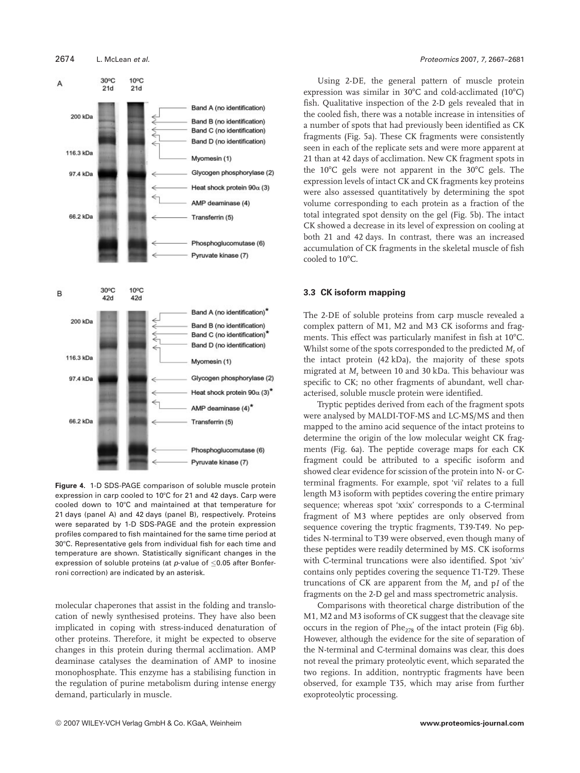

**Figure 4.** 1-D SDS-PAGE comparison of soluble muscle protein expression in carp cooled to 10°C for 21 and 42 days. Carp were cooled down to 10°C and maintained at that temperature for 21 days (panel A) and 42 days (panel B), respectively. Proteins were separated by 1-D SDS-PAGE and the protein expression profiles compared to fish maintained for the same time period at 307C. Representative gels from individual fish for each time and temperature are shown. Statistically significant changes in the expression of soluble proteins (at  $p$ -value of  $\leq$ 0.05 after Bonferroni correction) are indicated by an asterisk.

molecular chaperones that assist in the folding and translocation of newly synthesised proteins. They have also been implicated in coping with stress-induced denaturation of other proteins. Therefore, it might be expected to observe changes in this protein during thermal acclimation. AMP deaminase catalyses the deamination of AMP to inosine monophosphate. This enzyme has a stabilising function in the regulation of purine metabolism during intense energy demand, particularly in muscle.

Using 2-DE, the general pattern of muscle protein expression was similar in 30°C and cold-acclimated (10°C) fish. Qualitative inspection of the 2-D gels revealed that in the cooled fish, there was a notable increase in intensities of a number of spots that had previously been identified as CK fragments (Fig. 5a). These CK fragments were consistently seen in each of the replicate sets and were more apparent at 21 than at 42 days of acclimation. New CK fragment spots in the  $10^{\circ}$ C gels were not apparent in the  $30^{\circ}$ C gels. The expression levels of intact CK and CK fragments key proteins were also assessed quantitatively by determining the spot volume corresponding to each protein as a fraction of the total integrated spot density on the gel (Fig. 5b). The intact CK showed a decrease in its level of expression on cooling at both 21 and 42 days. In contrast, there was an increased accumulation of CK fragments in the skeletal muscle of fish cooled to 10°C.

#### **3.3 CK isoform mapping**

The 2-DE of soluble proteins from carp muscle revealed a complex pattern of M1, M2 and M3 CK isoforms and fragments. This effect was particularly manifest in fish at 10°C. Whilst some of the spots corresponded to the predicted  $M_r$  of the intact protein (42 kDa), the majority of these spots migrated at *M*<sup>r</sup> between 10 and 30 kDa. This behaviour was specific to CK; no other fragments of abundant, well characterised, soluble muscle protein were identified.

Tryptic peptides derived from each of the fragment spots were analysed by MALDI-TOF-MS and LC-MS/MS and then mapped to the amino acid sequence of the intact proteins to determine the origin of the low molecular weight CK fragments (Fig. 6a). The peptide coverage maps for each CK fragment could be attributed to a specific isoform and showed clear evidence for scission of the protein into N- or Cterminal fragments. For example, spot 'vii' relates to a full length M3 isoform with peptides covering the entire primary sequence; whereas spot 'xxix' corresponds to a C-terminal fragment of M3 where peptides are only observed from sequence covering the tryptic fragments, T39-T49. No peptides N-terminal to T39 were observed, even though many of these peptides were readily determined by MS. CK isoforms with C-terminal truncations were also identified. Spot 'xiv' contains only peptides covering the sequence T1-T29. These truncations of CK are apparent from the *M*<sup>r</sup> and p*I* of the fragments on the 2-D gel and mass spectrometric analysis.

Comparisons with theoretical charge distribution of the M1, M2 and M3 isoforms of CK suggest that the cleavage site occurs in the region of  $Phe_{278}$  of the intact protein (Fig 6b). However, although the evidence for the site of separation of the N-terminal and C-terminal domains was clear, this does not reveal the primary proteolytic event, which separated the two regions. In addition, nontryptic fragments have been observed, for example T35, which may arise from further exoproteolytic processing.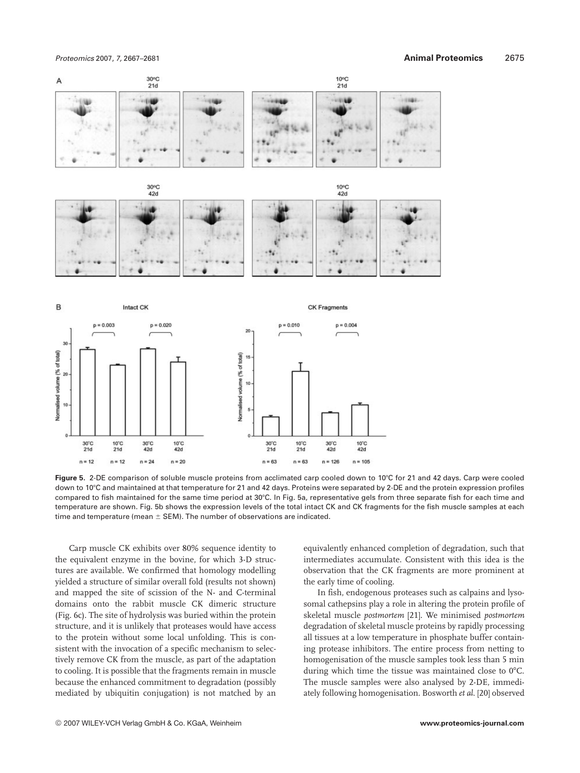

Figure 5. 2-DE comparison of soluble muscle proteins from acclimated carp cooled down to 10°C for 21 and 42 days. Carp were cooled down to 107C and maintained at that temperature for 21 and 42 days. Proteins were separated by 2-DE and the protein expression profiles compared to fish maintained for the same time period at 30°C. In Fig. 5a, representative gels from three separate fish for each time and temperature are shown. Fig. 5b shows the expression levels of the total intact CK and CK fragments for the fish muscle samples at each time and temperature (mean  $\pm$  SEM). The number of observations are indicated.

Carp muscle CK exhibits over 80% sequence identity to the equivalent enzyme in the bovine, for which 3-D structures are available. We confirmed that homology modelling yielded a structure of similar overall fold (results not shown) and mapped the site of scission of the N- and C-terminal domains onto the rabbit muscle CK dimeric structure (Fig. 6c). The site of hydrolysis was buried within the protein structure, and it is unlikely that proteases would have access to the protein without some local unfolding. This is consistent with the invocation of a specific mechanism to selectively remove CK from the muscle, as part of the adaptation to cooling. It is possible that the fragments remain in muscle because the enhanced commitment to degradation (possibly mediated by ubiquitin conjugation) is not matched by an

equivalently enhanced completion of degradation, such that intermediates accumulate. Consistent with this idea is the observation that the CK fragments are more prominent at the early time of cooling.

In fish, endogenous proteases such as calpains and lysosomal cathepsins play a role in altering the protein profile of skeletal muscle *postmortem* [21]. We minimised *postmortem* degradation of skeletal muscle proteins by rapidly processing all tissues at a low temperature in phosphate buffer containing protease inhibitors. The entire process from netting to homogenisation of the muscle samples took less than 5 min during which time the tissue was maintained close to  $0^{\circ}$ C. The muscle samples were also analysed by 2-DE, immediately following homogenisation. Bosworth *et al*. [20] observed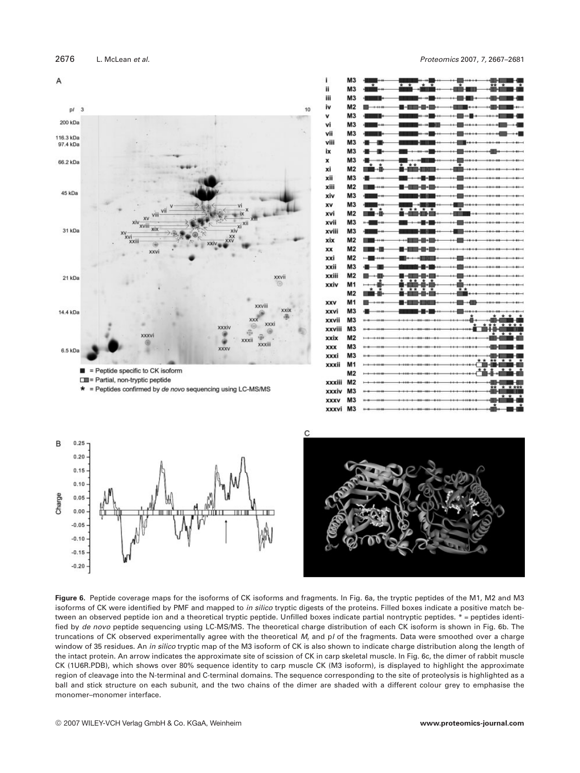



| ī           | M3             | $\overline{\ast}$<br>$\star$                                        |
|-------------|----------------|---------------------------------------------------------------------|
| ii          | M <sub>3</sub> | ¥<br>-110                                                           |
| Ш           | M <sub>3</sub> | ᆔ<br>⊪<br><b>Kanada</b>                                             |
| iv          | M <sub>2</sub> | ۰ı                                                                  |
| v           | M <sub>3</sub> | H<br>644-8-44<br>ina a                                              |
| vi          | M <sub>3</sub> | н                                                                   |
| vii         | M <sub>3</sub> | н                                                                   |
| viii        | M <sub>3</sub> | 柵                                                                   |
| ix          | M <sub>3</sub> | н                                                                   |
| x           | M <sub>3</sub> |                                                                     |
| xi          | M2             | * *<br>⊣⊪<br>医肠<br><b>The College of the College of the College</b> |
| xii         | M <sub>3</sub> |                                                                     |
| xiii        | M <sub>2</sub> |                                                                     |
| xiv         | M <sub>3</sub> | н                                                                   |
| XV          | M <sub>3</sub> | ٠m                                                                  |
| xvi         | M <sub>2</sub> | ⊣⊪<br>---                                                           |
| xvii        | M <sub>3</sub> | $+$                                                                 |
| xviii       | M <sub>3</sub> |                                                                     |
| xix         | M <sub>2</sub> |                                                                     |
| xx          | M <sub>2</sub> |                                                                     |
| xxi         | M <sub>2</sub> | m                                                                   |
| xxii        | M <sub>3</sub> | H                                                                   |
| xxiii       | M <sub>2</sub> |                                                                     |
| xxiv        | M <sub>1</sub> |                                                                     |
|             | M <sub>2</sub> | $\overline{\star}$ $\star$                                          |
| <b>XXV</b>  | M1             |                                                                     |
| xxvi        | M <sub>3</sub> | $***-1$                                                             |
| xxvii       | M <sub>3</sub> | å.                                                                  |
| xxviii      | M <sub>3</sub> | * *                                                                 |
| xxix        | M <sub>2</sub> | *                                                                   |
| <b>XXX</b>  | M <sub>3</sub> |                                                                     |
| xxxi        | M <sub>3</sub> |                                                                     |
| xxxii       | M <sub>1</sub> | *<br>г                                                              |
|             | M <sub>2</sub> | * *                                                                 |
| xxxiii      | M <sub>2</sub> |                                                                     |
| xxxiv       | M <sub>3</sub> | * * ***<br>俞慎                                                       |
| <b>XXXV</b> | M <sub>3</sub> | ż.<br>×                                                             |
| xxxvi       | M <sub>3</sub> | $\star$<br>*<br>$+100$<br>i4<br>ŀ۰<br>H                             |





**Figure 6.** Peptide coverage maps for the isoforms of CK isoforms and fragments. In Fig. 6a, the tryptic peptides of the M1, M2 and M3 isoforms of CK were identified by PMF and mapped to in silico tryptic digests of the proteins. Filled boxes indicate a positive match between an observed peptide ion and a theoretical tryptic peptide. Unfilled boxes indicate partial nontryptic peptides. \* = peptides identified by de novo peptide sequencing using LC-MS/MS. The theoretical charge distribution of each CK isoform is shown in Fig. 6b. The truncations of CK observed experimentally agree with the theoretical M, and p/ of the fragments. Data were smoothed over a charge window of 35 residues. An in silico tryptic map of the M3 isoform of CK is also shown to indicate charge distribution along the length of the intact protein. An arrow indicates the approximate site of scission of CK in carp skeletal muscle. In Fig. 6c, the dimer of rabbit muscle CK (1U6R.PDB), which shows over 80% sequence identity to carp muscle CK (M3 isoform), is displayed to highlight the approximate region of cleavage into the N-terminal and C-terminal domains. The sequence corresponding to the site of proteolysis is highlighted as a ball and stick structure on each subunit, and the two chains of the dimer are shaded with a different colour grey to emphasise the monomer–monomer interface.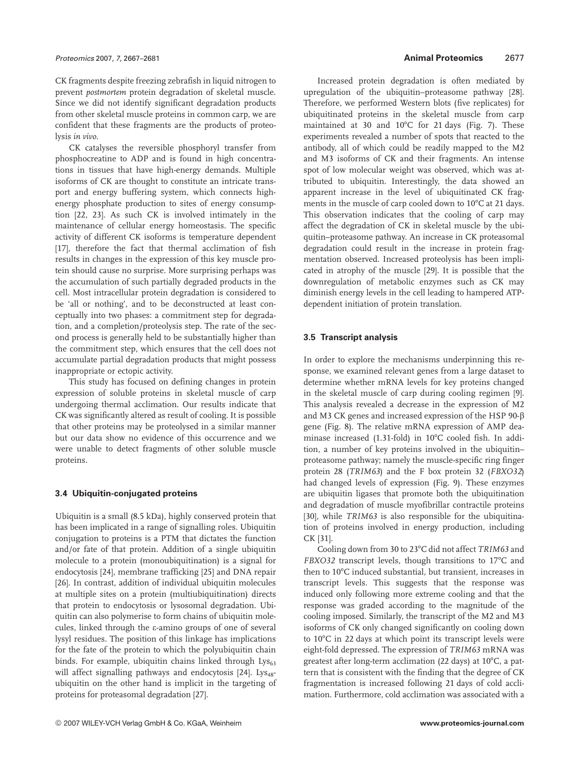CK fragments despite freezing zebrafish in liquid nitrogen to prevent *postmortem* protein degradation of skeletal muscle. Since we did not identify significant degradation products from other skeletal muscle proteins in common carp, we are confident that these fragments are the products of proteolysis *in vivo*.

CK catalyses the reversible phosphoryl transfer from phosphocreatine to ADP and is found in high concentrations in tissues that have high-energy demands. Multiple isoforms of CK are thought to constitute an intricate transport and energy buffering system, which connects highenergy phosphate production to sites of energy consumption [22, 23]. As such CK is involved intimately in the maintenance of cellular energy homeostasis. The specific activity of different CK isoforms is temperature dependent [17], therefore the fact that thermal acclimation of fish results in changes in the expression of this key muscle protein should cause no surprise. More surprising perhaps was the accumulation of such partially degraded products in the cell. Most intracellular protein degradation is considered to be 'all or nothing', and to be deconstructed at least conceptually into two phases: a commitment step for degradation, and a completion/proteolysis step. The rate of the second process is generally held to be substantially higher than the commitment step, which ensures that the cell does not accumulate partial degradation products that might possess inappropriate or ectopic activity.

This study has focused on defining changes in protein expression of soluble proteins in skeletal muscle of carp undergoing thermal acclimation. Our results indicate that CK was significantly altered as result of cooling. It is possible that other proteins may be proteolysed in a similar manner but our data show no evidence of this occurrence and we were unable to detect fragments of other soluble muscle proteins.

#### **3.4 Ubiquitin-conjugated proteins**

Ubiquitin is a small (8.5 kDa), highly conserved protein that has been implicated in a range of signalling roles. Ubiquitin conjugation to proteins is a PTM that dictates the function and/or fate of that protein. Addition of a single ubiquitin molecule to a protein (monoubiquitination) is a signal for endocytosis [24], membrane trafficking [25] and DNA repair [26]. In contrast, addition of individual ubiquitin molecules at multiple sites on a protein (multiubiquitination) directs that protein to endocytosis or lysosomal degradation. Ubiquitin can also polymerise to form chains of ubiquitin molecules, linked through the e-amino groups of one of several lysyl residues. The position of this linkage has implications for the fate of the protein to which the polyubiquitin chain binds. For example, ubiquitin chains linked through  $Lys_{63}$ will affect signalling pathways and endocytosis [24]. Lys<sub>48</sub>ubiquitin on the other hand is implicit in the targeting of proteins for proteasomal degradation [27].

Increased protein degradation is often mediated by upregulation of the ubiquitin–proteasome pathway [28]. Therefore, we performed Western blots (five replicates) for ubiquitinated proteins in the skeletal muscle from carp maintained at 30 and  $10^{\circ}$ C for 21 days (Fig. 7). These experiments revealed a number of spots that reacted to the antibody, all of which could be readily mapped to the M2 and M3 isoforms of CK and their fragments. An intense spot of low molecular weight was observed, which was attributed to ubiquitin. Interestingly, the data showed an apparent increase in the level of ubiquitinated CK fragments in the muscle of carp cooled down to 10°C at 21 days. This observation indicates that the cooling of carp may affect the degradation of CK in skeletal muscle by the ubiquitin–proteasome pathway. An increase in CK proteasomal degradation could result in the increase in protein fragmentation observed. Increased proteolysis has been implicated in atrophy of the muscle [29]. It is possible that the downregulation of metabolic enzymes such as CK may diminish energy levels in the cell leading to hampered ATPdependent initiation of protein translation.

#### **3.5 Transcript analysis**

In order to explore the mechanisms underpinning this response, we examined relevant genes from a large dataset to determine whether mRNA levels for key proteins changed in the skeletal muscle of carp during cooling regimen [9]. This analysis revealed a decrease in the expression of M2 and M3 CK genes and increased expression of the HSP 90- $\beta$ gene (Fig. 8). The relative mRNA expression of AMP deaminase increased (1.31-fold) in 10°C cooled fish. In addition, a number of key proteins involved in the ubiquitin– proteasome pathway; namely the muscle-specific ring finger protein 28 (*TRIM63*) and the F box protein 32 (*FBXO32*) had changed levels of expression (Fig. 9). These enzymes are ubiquitin ligases that promote both the ubiquitination and degradation of muscle myofibrillar contractile proteins [30], while *TRIM63* is also responsible for the ubiquitination of proteins involved in energy production, including CK [31].

Cooling down from 30 to 23°C did not affect *TRIM63* and *FBXO32* transcript levels, though transitions to 17°C and then to 10°C induced substantial, but transient, increases in transcript levels. This suggests that the response was induced only following more extreme cooling and that the response was graded according to the magnitude of the cooling imposed. Similarly, the transcript of the M2 and M3 isoforms of CK only changed significantly on cooling down to 10°C in 22 days at which point its transcript levels were eight-fold depressed. The expression of *TRIM63* mRNA was greatest after long-term acclimation (22 days) at 10°C, a pattern that is consistent with the finding that the degree of CK fragmentation is increased following 21 days of cold acclimation. Furthermore, cold acclimation was associated with a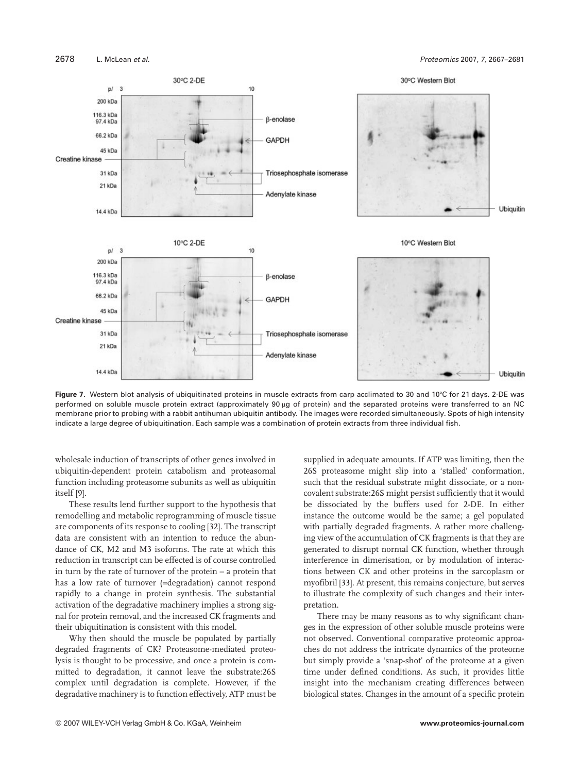

Figure 7. Western blot analysis of ubiquitinated proteins in muscle extracts from carp acclimated to 30 and 10°C for 21 days. 2-DE was performed on soluble muscle protein extract (approximately 90 µg of protein) and the separated proteins were transferred to an NC membrane prior to probing with a rabbit antihuman ubiquitin antibody. The images were recorded simultaneously. Spots of high intensity indicate a large degree of ubiquitination. Each sample was a combination of protein extracts from three individual fish.

wholesale induction of transcripts of other genes involved in ubiquitin-dependent protein catabolism and proteasomal function including proteasome subunits as well as ubiquitin itself [9].

These results lend further support to the hypothesis that remodelling and metabolic reprogramming of muscle tissue are components of its response to cooling [32]. The transcript data are consistent with an intention to reduce the abundance of CK, M2 and M3 isoforms. The rate at which this reduction in transcript can be effected is of course controlled in turn by the rate of turnover of the protein – a protein that has a low rate of turnover (=degradation) cannot respond rapidly to a change in protein synthesis. The substantial activation of the degradative machinery implies a strong signal for protein removal, and the increased CK fragments and their ubiquitination is consistent with this model.

Why then should the muscle be populated by partially degraded fragments of CK? Proteasome-mediated proteolysis is thought to be processive, and once a protein is committed to degradation, it cannot leave the substrate:26S complex until degradation is complete. However, if the degradative machinery is to function effectively, ATP must be supplied in adequate amounts. If ATP was limiting, then the 26S proteasome might slip into a 'stalled' conformation, such that the residual substrate might dissociate, or a noncovalent substrate:26S might persist sufficiently that it would be dissociated by the buffers used for 2-DE. In either instance the outcome would be the same; a gel populated with partially degraded fragments. A rather more challenging view of the accumulation of CK fragments is that they are generated to disrupt normal CK function, whether through interference in dimerisation, or by modulation of interactions between CK and other proteins in the sarcoplasm or myofibril [33]. At present, this remains conjecture, but serves to illustrate the complexity of such changes and their interpretation.

There may be many reasons as to why significant changes in the expression of other soluble muscle proteins were not observed. Conventional comparative proteomic approaches do not address the intricate dynamics of the proteome but simply provide a 'snap-shot' of the proteome at a given time under defined conditions. As such, it provides little insight into the mechanism creating differences between biological states. Changes in the amount of a specific protein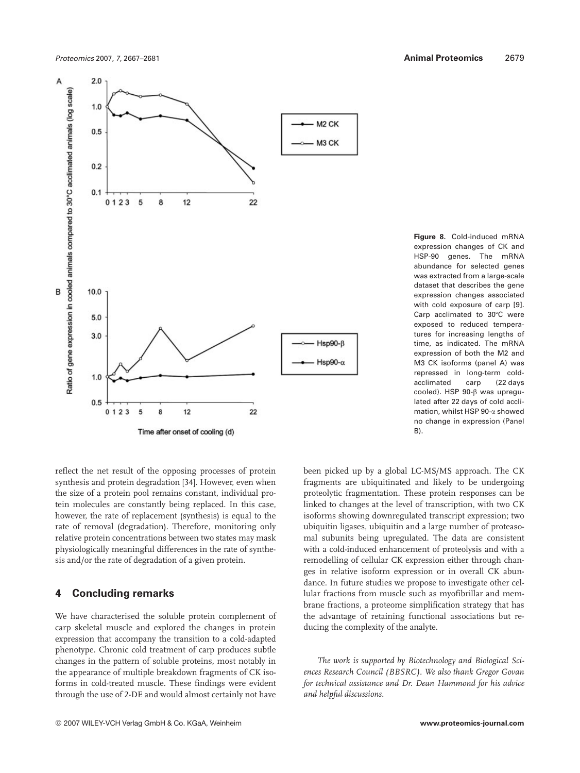

**Figure 8.** Cold-induced mRNA expression changes of CK and HSP-90 genes. The mRNA abundance for selected genes was extracted from a large-scale dataset that describes the gene expression changes associated with cold exposure of carp [9]. Carp acclimated to 30°C were exposed to reduced temperatures for increasing lengths of time, as indicated. The mRNA expression of both the M2 and M3 CK isoforms (panel A) was repressed in long-term coldacclimated carp (22 days cooled). HSP 90-B was upregulated after 22 days of cold acclimation, whilst HSP 90-a showed no change in expression (Panel B).

reflect the net result of the opposing processes of protein synthesis and protein degradation [34]. However, even when the size of a protein pool remains constant, individual protein molecules are constantly being replaced. In this case, however, the rate of replacement (synthesis) is equal to the rate of removal (degradation). Therefore, monitoring only relative protein concentrations between two states may mask physiologically meaningful differences in the rate of synthesis and/or the rate of degradation of a given protein.

# **4 Concluding remarks**

We have characterised the soluble protein complement of carp skeletal muscle and explored the changes in protein expression that accompany the transition to a cold-adapted phenotype. Chronic cold treatment of carp produces subtle changes in the pattern of soluble proteins, most notably in the appearance of multiple breakdown fragments of CK isoforms in cold-treated muscle. These findings were evident through the use of 2-DE and would almost certainly not have

fragments are ubiquitinated and likely to be undergoing proteolytic fragmentation. These protein responses can be linked to changes at the level of transcription, with two CK isoforms showing downregulated transcript expression; two ubiquitin ligases, ubiquitin and a large number of proteasomal subunits being upregulated. The data are consistent with a cold-induced enhancement of proteolysis and with a remodelling of cellular CK expression either through changes in relative isoform expression or in overall CK abundance. In future studies we propose to investigate other cellular fractions from muscle such as myofibrillar and membrane fractions, a proteome simplification strategy that has the advantage of retaining functional associations but reducing the complexity of the analyte.

been picked up by a global LC-MS/MS approach. The CK

*The work is supported by Biotechnology and Biological Sciences Research Council (BBSRC). We also thank Gregor Govan for technical assistance and Dr. Dean Hammond for his advice and helpful discussions.*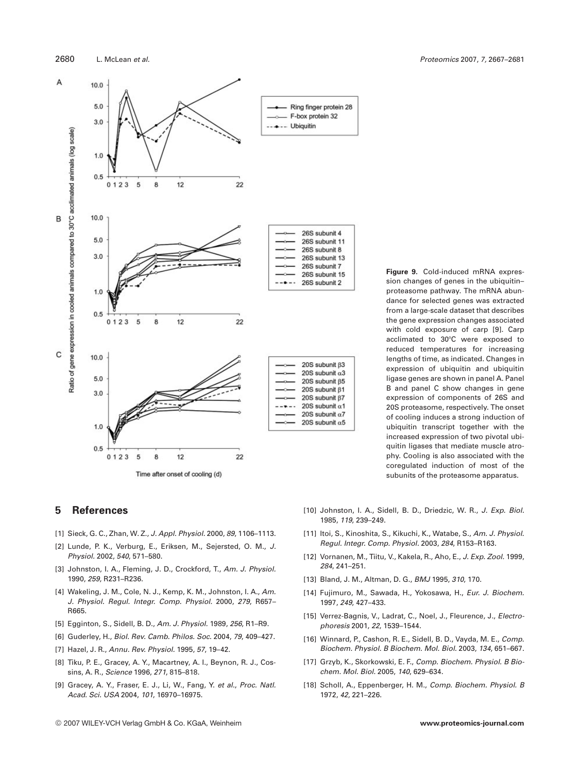

**Figure 9.** Cold-induced mRNA expression changes of genes in the ubiquitin– proteasome pathway. The mRNA abundance for selected genes was extracted from a large-scale dataset that describes the gene expression changes associated with cold exposure of carp [9]. Carp acclimated to 30°C were exposed to reduced temperatures for increasing lengths of time, as indicated. Changes in expression of ubiquitin and ubiquitin ligase genes are shown in panel A. Panel B and panel C show changes in gene expression of components of 26S and 20S proteasome, respectively. The onset of cooling induces a strong induction of ubiquitin transcript together with the increased expression of two pivotal ubiquitin ligases that mediate muscle atrophy. Cooling is also associated with the coregulated induction of most of the subunits of the proteasome apparatus.

### **5 References**

- [1] Sieck, G. C., Zhan, W. Z., J. Appl. Physiol. 2000, 89, 1106-1113.
- [2] Lunde, P. K., Verburg, E., Eriksen, M., Sejersted, O. M., J. Physiol. 2002, 540, 571–580.
- [3] Johnston, I. A., Fleming, J. D., Crockford, T., Am. J. Physiol. 1990, 259, R231–R236.
- [4] Wakeling, J. M., Cole, N. J., Kemp, K. M., Johnston, I. A., Am. J. Physiol. Regul. Integr. Comp. Physiol. 2000, 279, R657– R665.
- [5] Egginton, S., Sidell, B. D., Am. J. Physiol. 1989, 256, R1–R9.
- [6] Guderley, H., Biol. Rev. Camb. Philos. Soc. 2004, 79, 409–427.
- [7] Hazel, J. R., Annu. Rev. Physiol. 1995, 57, 19–42.
- [8] Tiku, P. E., Gracey, A. Y., Macartney, A. I., Beynon, R. J., Cossins, A. R., Science 1996, 271, 815–818.
- [9] Gracey, A. Y., Fraser, E. J., Li, W., Fang, Y. et al., Proc. Natl. Acad. Sci. USA 2004, 101, 16970–16975.
- © 2007 WILEY-VCH Verlag GmbH & Co. KGaA, Weinheim **www.proteomics-journal.com**
- [10] Johnston, I. A., Sidell, B. D., Driedzic, W. R., J. Exp. Biol. 1985, 119, 239–249.
- [11] Itoi, S., Kinoshita, S., Kikuchi, K., Watabe, S., Am. J. Physiol. Regul. Integr. Comp. Physiol. 2003, 284, R153–R163.
- [12] Vornanen, M., Tiitu, V., Kakela, R., Aho, E., J. Exp. Zool. 1999, 284, 241–251.
- [13] Bland, J. M., Altman, D. G., BMJ 1995, 310, 170.
- [14] Fujimuro, M., Sawada, H., Yokosawa, H., Eur. J. Biochem. 1997, 249, 427–433.
- [15] Verrez-Bagnis, V., Ladrat, C., Noel, J., Fleurence, J., Electrophoresis 2001, 22, 1539–1544.
- [16] Winnard, P., Cashon, R. E., Sidell, B. D., Vayda, M. E., Comp. Biochem. Physiol. B Biochem. Mol. Biol. 2003, 134, 651–667.
- [17] Grzyb, K., Skorkowski, E. F., Comp. Biochem. Physiol. B Biochem. Mol. Biol. 2005, 140, 629–634.
- [18] Scholl, A., Eppenberger, H. M., Comp. Biochem. Physiol. B 1972, 42, 221–226.